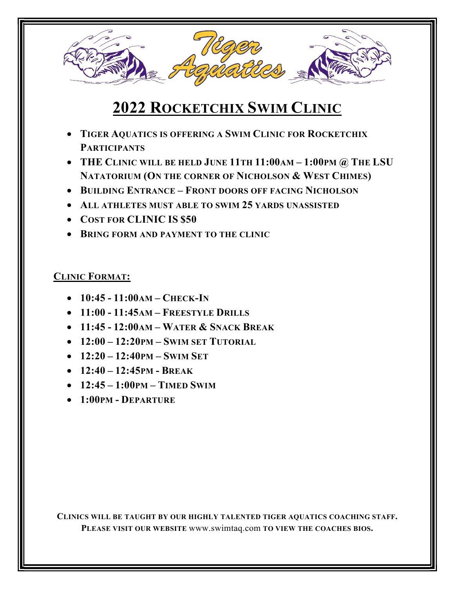

## 2022 ROCKETCHIX SWIM CLINIC

- **TIGER AQUATICS IS OFFERING A SWIM CLINIC FOR ROCKETCHIX PARTICIPANTS**
- THE CLINIC WILL BE HELD JUNE 11TH 11:00AM 1:00PM @ THE LSU NATATORIUM (ON THE CORNER OF NICHOLSON & WEST CHIMES)
- BUILDING ENTRANCE FRONT DOORS OFF FACING NICHOLSON
- ALL ATHLETES MUST ABLE TO SWIM 25 YARDS UNASSISTED
- COST FOR CLINIC IS \$50
- **BRING FORM AND PAYMENT TO THE CLINIC**

## CLINIC FORMAT:

- $-10:45 11:00AM CHECK-IN$
- $-11:00 11:45$ AM FREESTYLE DRILLS
- $\bullet$  11:45 12:00 AM WATER  $\&$  SNACK BREAK
- $-12:00 12:20$ PM SWIM SET TUTORIAL
- $-12:20 12:40$ PM SWIM SET
- $-12:40 12:45$ PM BREAK
- $-12:45 1:00$ PM TIMED SWIM
- 1:00PM DEPARTURE

CLINICS WILL BE TAUGHT BY OUR HIGHLY TALENTED TIGER AQUATICS COACHING STAFF. PLEASE VISIT OUR WEBSITE www.swimtaq.com TO VIEW THE COACHES BIOS.